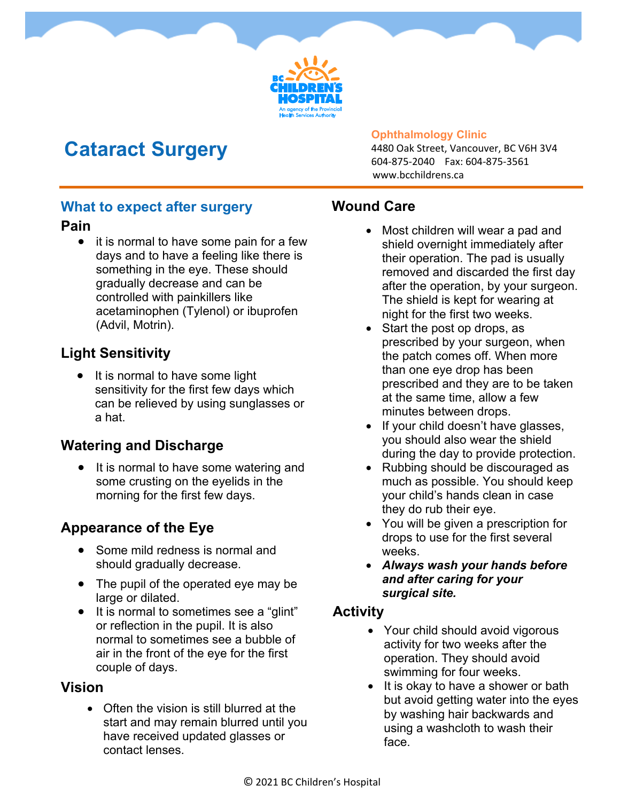

# **Cataract Surgery**

#### **Ophthalmology Clinic**

4480 Oak Street, Vancouver, BC V6H 3V4 604-875-2040 Fax: 604-875-3561 www.bcchildrens.ca

#### **What to expect after surgery**

#### **Pain**

• it is normal to have some pain for a few days and to have a feeling like there is something in the eye. These should gradually decrease and can be controlled with painkillers like acetaminophen (Tylenol) or ibuprofen (Advil, Motrin).

## **Light Sensitivity**

 It is normal to have some light sensitivity for the first few days which can be relieved by using sunglasses or a hat.

## **Watering and Discharge**

• It is normal to have some watering and some crusting on the eyelids in the morning for the first few days.

## **Appearance of the Eye**

- Some mild redness is normal and should gradually decrease.
- The pupil of the operated eye may be large or dilated.
- It is normal to sometimes see a "glint" or reflection in the pupil. It is also normal to sometimes see a bubble of air in the front of the eye for the first couple of days.

### **Vision**

• Often the vision is still blurred at the start and may remain blurred until you have received updated glasses or contact lenses.

## **Wound Care**

- Most children will wear a pad and shield overnight immediately after their operation. The pad is usually removed and discarded the first day after the operation, by your surgeon. The shield is kept for wearing at night for the first two weeks.
- Start the post op drops, as prescribed by your surgeon, when the patch comes off. When more than one eye drop has been prescribed and they are to be taken at the same time, allow a few minutes between drops.
- If your child doesn't have glasses, you should also wear the shield during the day to provide protection.
- Rubbing should be discouraged as much as possible. You should keep your child's hands clean in case they do rub their eye.
- You will be given a prescription for drops to use for the first several weeks.
- *Always wash your hands before and after caring for your surgical site.*

### **Activity**

- Your child should avoid vigorous activity for two weeks after the operation. They should avoid swimming for four weeks.
- It is okay to have a shower or bath but avoid getting water into the eyes by washing hair backwards and using a washcloth to wash their face.